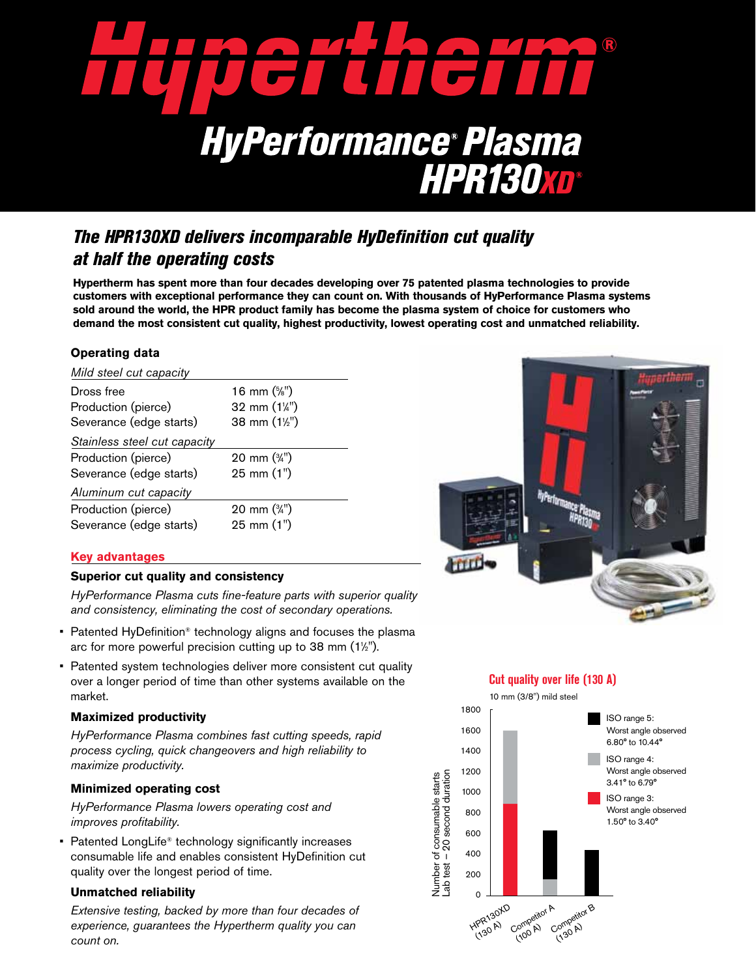

# *The HPR130XD delivers incomparable HyDefinition cut quality at half the operating costs*

**Hypertherm has spent more than four decades developing over 75 patented plasma technologies to provide customers with exceptional performance they can count on. With thousands of HyPerformance Plasma systems sold around the world, the HPR product family has become the plasma system of choice for customers who demand the most consistent cut quality, highest productivity, lowest operating cost and unmatched reliability.**

# **Operating data**

| Mild steel cut capacity      |                                    |  |  |
|------------------------------|------------------------------------|--|--|
| Dross free                   | 16 mm $(\frac{5}{6})$              |  |  |
| Production (pierce)          | 32 mm (1¼")                        |  |  |
| Severance (edge starts)      | 38 mm (11/2")                      |  |  |
| Stainless steel cut capacity |                                    |  |  |
| Production (pierce)          | $20 \text{ mm}$ ( $\frac{3}{4}$ ") |  |  |
| Severance (edge starts)      | 25 mm (1")                         |  |  |
| Aluminum cut capacity        |                                    |  |  |
| Production (pierce)          | 20 mm $(\frac{3}{4})$              |  |  |
| Severance (edge starts)      | 25 mm (1")                         |  |  |
|                              |                                    |  |  |

### **Key advantages**

#### **Superior cut quality and consistency**

*HyPerformance Plasma cuts fine-feature parts with superior quality and consistency, eliminating the cost of secondary operations.*

- Patented HyDefinition<sup>®</sup> technology aligns and focuses the plasma arc for more powerful precision cutting up to 38 mm (11 ⁄2").
- Patented system technologies deliver more consistent cut quality over a longer period of time than other systems available on the market.

#### **Maximized productivity**

*HyPerformance Plasma combines fast cutting speeds, rapid process cycling, quick changeovers and high reliability to maximize productivity.*

### **Minimized operating cost**

*HyPerformance Plasma lowers operating cost and improves profitability.*

• Patented LongLife<sup>®</sup> technology significantly increases consumable life and enables consistent HyDefinition cut quality over the longest period of time.

### **Unmatched reliability**

*Extensive testing, backed by more than four decades of experience, guarantees the Hypertherm quality you can count on.*